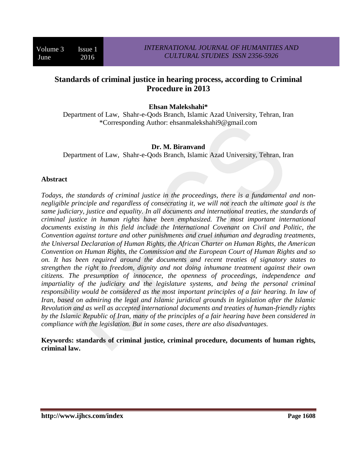# **Standards of criminal justice in hearing process, according to Criminal Procedure in 2013**

### **Ehsan Malekshahi\***

Department of Law, Shahr-e-Qods Branch, Islamic Azad University, Tehran, Iran \*Corresponding Author: ehsanmalekshahi9@gmail.com

#### **Dr. M. Biranvand**

Department of Law, Shahr-e-Qods Branch, Islamic Azad University, Tehran, Iran

### **Abstract**

*Todays, the standards of criminal justice in the proceedings, there is a fundamental and nonnegligible principle and regardless of consecrating it, we will not reach the ultimate goal is the same judiciary, justice and equality. In all documents and international treaties, the standards of criminal justice in human rights have been emphasized. The most important international documents existing in this field include the International Covenant on Civil and Politic, the Convention against torture and other punishments and cruel inhuman and degrading treatments, the Universal Declaration of Human Rights, the African Charter on Human Rights, the American Convention on Human Rights, the Commission and the European Court of Human Rights and so on. It has been required around the documents and recent treaties of signatory states to strengthen the right to freedom, dignity and not doing inhumane treatment against their own citizens. The presumption of innocence, the openness of proceedings, independence and impartiality of the judiciary and the legislature systems, and being the personal criminal responsibility would be considered as the most important principles of a fair hearing. In law of Iran, based on admiring the legal and Islamic juridical grounds in legislation after the Islamic Revolution and as well as accepted international documents and treaties of human-friendly rights by the Islamic Republic of Iran, many of the principles of a fair hearing have been considered in compliance with the legislation. But in some cases, there are also disadvantages.*

**Keywords: standards of criminal justice, criminal procedure, documents of human rights, criminal law.**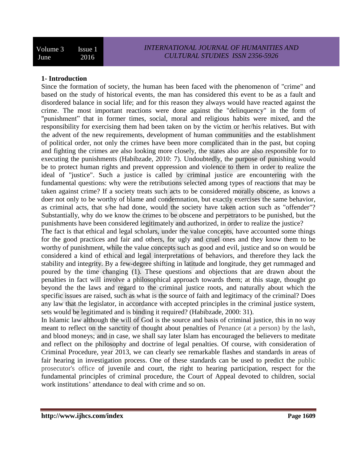### **1- Introduction**

Since the formation of society, the human has been faced with the phenomenon of "crime" and based on the study of historical events, the man has considered this event to be as a fault and disordered balance in social life; and for this reason they always would have reacted against the crime. The most important reactions were done against the "delinquency" in the form of "punishment" that in former times, social, moral and religious habits were mixed, and the responsibility for exercising them had been taken on by the victim or her/his relatives. But with the advent of the new requirements, development of human communities and the establishment of political order, not only the crimes have been more complicated than in the past, but coping and fighting the crimes are also looking more closely, the states also are also responsible for to executing the punishments (Habibzade, 2010: 7). Undoubtedly, the purpose of punishing would be to protect human rights and prevent oppression and violence to them in order to realize the ideal of "justice". Such a justice is called by criminal justice are encountering with the fundamental questions: why were the retributions selected among types of reactions that may be taken against crime? If a society treats such acts to be considered morally obscene, as knows a doer not only to be worthy of blame and condemnation, but exactly exercises the same behavior, as criminal acts, that s/he had done, would the society have taken action such as "offender"? Substantially, why do we know the crimes to be obscene and perpetrators to be punished, but the punishments have been considered legitimately and authorized, in order to realize the justice?

The fact is that ethical and legal scholars, under the value concepts, have accounted some things for the good practices and fair and others, for ugly and cruel ones and they know them to be worthy of punishment, while the value concepts such as good and evil, justice and so on would be considered a kind of ethical and legal interpretations of behaviors, and therefore they lack the stability and integrity. By a few-degree shifting in latitude and longitude, they get rummaged and poured by the time changing (1). These questions and objections that are drawn about the penalties in fact will involve a philosophical approach towards them; at this stage, thought go beyond the the laws and regard to the criminal justice roots, and naturally about which the specific issues are raised, such as what is the source of faith and legitimacy of the criminal? Does any law that the legislator, in accordance with accepted principles in the criminal justice system, sets would be legitimated and is binding it required? (Habibzade, 2000: 31).

In Islamic law although the will of God is the source and basis of criminal justice, this in no way meant to reflect on the sanctity of thought about penalties of Penance (at a person) by the lash, and blood moneys; and in case, we shall say later Islam has encouraged the believers to meditate and reflect on the philosophy and doctrine of legal penalties. Of course, with consideration of Criminal Procedure, year 2013, we can clearly see remarkable flashes and standards in areas of fair hearing in investigation process. One of these standards can be used to predict the public prosecutor's office of juvenile and court, the right to hearing participation, respect for the fundamental principles of criminal procedure, the Court of Appeal devoted to children, social work institutions' attendance to deal with crime and so on.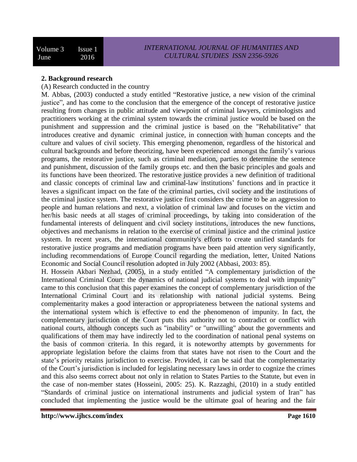### **2. Background research**

(A) Research conducted in the country

M. Abbas, (2003) conducted a study entitled "Restorative justice, a new vision of the criminal justice", and has come to the conclusion that the emergence of the concept of restorative justice resulting from changes in public attitude and viewpoint of criminal lawyers, criminologists and practitioners working at the criminal system towards the criminal justice would be based on the punishment and suppression and the criminal justice is based on the "Rehabilitative" that introduces creative and dynamic criminal justice, in connection with human concepts and the culture and values of civil society. This emerging phenomenon, regardless of the historical and cultural backgrounds and before theorizing, have been experienced amongst the family's various programs, the restorative justice, such as criminal mediation, parties to determine the sentence and punishment, discussion of the family groups etc. and then the basic principles and goals and its functions have been theorized. The restorative justice provides a new definition of traditional and classic concepts of criminal law and criminal-law institutions' functions and in practice it leaves a significant impact on the fate of the criminal parties, civil society and the institutions of the criminal justice system. The restorative justice first considers the crime to be an aggression to people and human relations and next, a violation of criminal law and focuses on the victim and her/his basic needs at all stages of criminal proceedings, by taking into consideration of the fundamental interests of delinquent and civil society institutions, introduces the new functions, objectives and mechanisms in relation to the exercise of criminal justice and the criminal justice system. In recent years, the international community's efforts to create unified standards for restorative justice programs and mediation programs have been paid attention very significantly, including recommendations of Europe Council regarding the mediation, letter, United Nations Economic and Social Council resolution adopted in July 2002 (Abbasi, 2003: 85).

H. Hossein Akbari Nezhad, (2005), in a study entitled "A complementary jurisdiction of the International Criminal Court: the dynamics of national judicial systems to deal with impunity" came to this conclusion that this paper examines the concept of complementary jurisdiction of the International Criminal Court and its relationship with national judicial systems. Being complementarity makes a good interaction or appropriateness between the national systems and the international system which is effective to end the phenomenon of impunity. In fact, the complementary jurisdiction of the Court puts this authority not to contradict or conflict with national courts, although concepts such as "inability" or "unwilling" about the governments and qualifications of them may have indirectly led to the coordination of national penal systems on the basis of common criteria. In this regard, it is noteworthy attempts by governments for appropriate legislation before the claims from that states have not risen to the Court and the state's priority retains jurisdiction to exercise. Provided, it can be said that the complementarity of the Court's jurisdiction is included for legislating necessary laws in order to cognize the crimes and this also seems correct about not only in relation to States Parties to the Statute, but even in the case of non-member states (Hosseini, 2005: 25). K. Razzaghi, (2010) in a study entitled "Standards of criminal justice on international instruments and judicial system of Iran" has concluded that implementing the justice would be the ultimate goal of hearing and the fair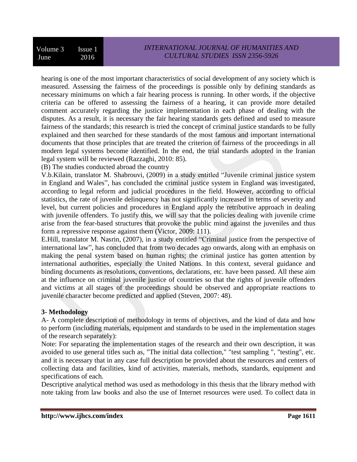hearing is one of the most important characteristics of social development of any society which is measured. Assessing the fairness of the proceedings is possible only by defining standards as necessary minimums on which a fair hearing process is running. In other words, if the objective criteria can be offered to assessing the fairness of a hearing, it can provide more detailed comment accurately regarding the justice implementation in each phase of dealing with the disputes. As a result, it is necessary the fair hearing standards gets defined and used to measure fairness of the standards; this research is tried the concept of criminal justice standards to be fully explained and then searched for these standards of the most famous and important international documents that those principles that are treated the criterion of fairness of the proceedings in all modern legal systems become identified. In the end, the trial standards adopted in the Iranian legal system will be reviewed (Razzaghi, 2010: 85).

(B) The studies conducted abroad the country

V.b.Kilain, translator M. Shabrouvi, (2009) in a study entitled "Juvenile criminal justice system in England and Wales", has concluded the criminal justice system in England was investigated, according to legal reform and judicial procedures in the field. However, according to official statistics, the rate of juvenile delinquency has not significantly increased in terms of severity and level, but current policies and procedures in England apply the retributive approach in dealing with juvenile offenders. To justify this, we will say that the policies dealing with juvenile crime arise from the fear-based structures that provoke the public mind against the juveniles and thus form a repressive response against them (Victor, 2009: 111).

E.Hill, translator M. Nasrin, (2007), in a study entitled "Criminal justice from the perspective of international law", has concluded that from two decades ago onwards, along with an emphasis on making the penal system based on human rights; the criminal justice has gotten attention by international authorities, especially the United Nations. In this context, several guidance and binding documents as resolutions, conventions, declarations, etc. have been passed. All these aim at the influence on criminal juvenile justice of countries so that the rights of juvenile offenders and victims at all stages of the proceedings should be observed and appropriate reactions to juvenile character become predicted and applied (Steven, 2007: 48).

# **3- Methodology**

A- A complete description of methodology in terms of objectives, and the kind of data and how to perform (including materials, equipment and standards to be used in the implementation stages of the research separately):

Note: For separating the implementation stages of the research and their own description, it was avoided to use general titles such as, "The initial data collection," "test sampling ", "testing", etc. and it is necessary that in any case full description be provided about the resources and centers of collecting data and facilities, kind of activities, materials, methods, standards, equipment and specifications of each.

Descriptive analytical method was used as methodology in this thesis that the library method with note taking from law books and also the use of Internet resources were used. To collect data in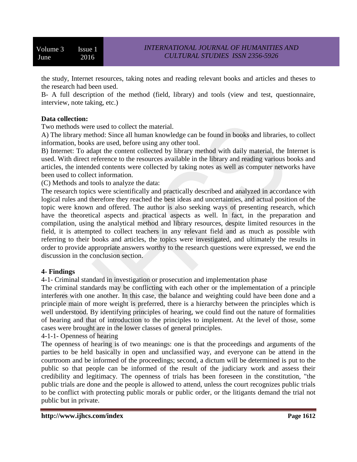Volume 3 Issue 1 June 2016

the study, Internet resources, taking notes and reading relevant books and articles and theses to the research had been used.

B- A full description of the method (field, library) and tools (view and test, questionnaire, interview, note taking, etc.)

### **Data collection:**

Two methods were used to collect the material.

A) The library method: Since all human knowledge can be found in books and libraries, to collect information, books are used, before using any other tool.

B) Internet: To adapt the content collected by library method with daily material, the Internet is used. With direct reference to the resources available in the library and reading various books and articles, the intended contents were collected by taking notes as well as computer networks have been used to collect information.

(C) Methods and tools to analyze the data:

The research topics were scientifically and practically described and analyzed in accordance with logical rules and therefore they reached the best ideas and uncertainties, and actual position of the topic were known and offered. The author is also seeking ways of presenting research, which have the theoretical aspects and practical aspects as well. In fact, in the preparation and compilation, using the analytical method and library resources, despite limited resources in the field, it is attempted to collect teachers in any relevant field and as much as possible with referring to their books and articles, the topics were investigated, and ultimately the results in order to provide appropriate answers worthy to the research questions were expressed, we end the discussion in the conclusion section.

### **4- Findings**

4-1- Criminal standard in investigation or prosecution and implementation phase

The criminal standards may be conflicting with each other or the implementation of a principle interferes with one another. In this case, the balance and weighting could have been done and a principle main of more weight is preferred, there is a hierarchy between the principles which is well understood. By identifying principles of hearing, we could find out the nature of formalities of hearing and that of introduction to the principles to implement. At the level of those, some cases were brought are in the lower classes of general principles.

4-1-1- Openness of hearing

The openness of hearing is of two meanings: one is that the proceedings and arguments of the parties to be held basically in open and unclassified way, and everyone can be attend in the courtroom and be informed of the proceedings; second, a dictum will be determined is put to the public so that people can be informed of the result of the judiciary work and assess their credibility and legitimacy. The openness of trials has been foreseen in the constitution, "the public trials are done and the people is allowed to attend, unless the court recognizes public trials to be conflict with protecting public morals or public order, or the litigants demand the trial not public but in private.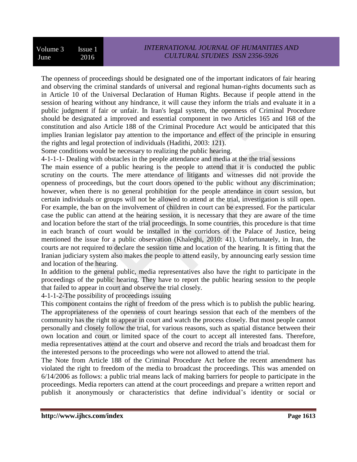The openness of proceedings should be designated one of the important indicators of fair hearing and observing the criminal standards of universal and regional human-rights documents such as in Article 10 of the Universal Declaration of Human Rights. Because if people attend in the session of hearing without any hindrance, it will cause they inform the trials and evaluate it in a public judgment if fair or unfair. In Iran's legal system, the openness of Criminal Procedure should be designated a improved and essential component in two Articles 165 and 168 of the constitution and also Article 188 of the Criminal Procedure Act would be anticipated that this implies Iranian legislator pay attention to the importance and effect of the principle in ensuring the rights and legal protection of individuals (Hadithi, 2003: 121).

Some conditions would be necessary to realizing the public hearing.

4-1-1-1- Dealing with obstacles in the people attendance and media at the the trial sessions

The main essence of a public hearing is the people to attend that it is conducted the public scrutiny on the courts. The mere attendance of litigants and witnesses did not provide the openness of proceedings, but the court doors opened to the public without any discrimination; however, when there is no general prohibition for the people attendance in court session, but certain individuals or groups will not be allowed to attend at the trial, investigation is still open. For example, the ban on the involvement of children in court can be expressed. For the particular case the public can attend at the hearing session, it is necessary that they are aware of the time and location before the start of the trial proceedings. In some countries, this procedure is that time in each branch of court would be installed in the corridors of the Palace of Justice, being mentioned the issue for a public observation (Khaleghi, 2010: 41). Unfortunately, in Iran, the courts are not required to declare the session time and location of the hearing. It is fitting that the Iranian judiciary system also makes the people to attend easily, by announcing early session time and location of the hearing.

In addition to the general public, media representatives also have the right to participate in the proceedings of the public hearing. They have to report the public hearing session to the people that failed to appear in court and observe the trial closely.

4-1-1-2-The possibility of proceedings issuing

This component contains the right of freedom of the press which is to publish the public hearing. The appropriateness of the openness of court hearings session that each of the members of the community has the right to appear in court and watch the process closely. But most people cannot personally and closely follow the trial, for various reasons, such as spatial distance between their own location and court or limited space of the court to accept all interested fans. Therefore, media representatives attend at the court and observe and record the trials and broadcast them for the interested persons to the proceedings who were not allowed to attend the trial.

The Note from Article 188 of the Criminal Procedure Act before the recent amendment has violated the right to freedom of the media to broadcast the proceedings. This was amended on 6/14/2006 as follows: a public trial means lack of making barriers for people to participate in the proceedings. Media reporters can attend at the court proceedings and prepare a written report and publish it anonymously or characteristics that define individual's identity or social or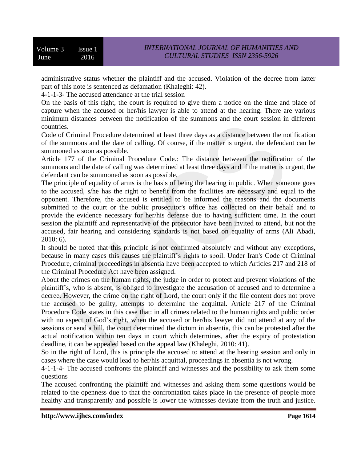administrative status whether the plaintiff and the accused. Violation of the decree from latter part of this note is sentenced as defamation (Khaleghi: 42).

4-1-1-3- The accused attendance at the trial session

On the basis of this right, the court is required to give them a notice on the time and place of capture when the accused or her/his lawyer is able to attend at the hearing. There are various minimum distances between the notification of the summons and the court session in different countries.

Code of Criminal Procedure determined at least three days as a distance between the notification of the summons and the date of calling. Of course, if the matter is urgent, the defendant can be summoned as soon as possible.

Article 177 of the Criminal Procedure Code.: The distance between the notification of the summons and the date of calling was determined at least three days and if the matter is urgent, the defendant can be summoned as soon as possible.

The principle of equality of arms is the basis of being the hearing in public. When someone goes to the accused, s/he has the right to benefit from the facilities are necessary and equal to the opponent. Therefore, the accused is entitled to be informed the reasons and the documents submitted to the court or the public prosecutor's office has collected on their behalf and to provide the evidence necessary for her/his defense due to having sufficient time. In the court session the plaintiff and representative of the prosecutor have been invited to attend, but not the accused, fair hearing and considering standards is not based on equality of arms (Ali Abadi, 2010: 6).

It should be noted that this principle is not confirmed absolutely and without any exceptions, because in many cases this causes the plaintiff's rights to spoil. Under Iran's Code of Criminal Procedure, criminal proceedings in absentia have been accepted to which Articles 217 and 218 of the Criminal Procedure Act have been assigned.

About the crimes on the human rights, the judge in order to protect and prevent violations of the plaintiff's, who is absent, is obliged to investigate the accusation of accused and to determine a decree. However, the crime on the right of Lord, the court only if the file content does not prove the accused to be guilty, attempts to determine the acquittal. Article 217 of the Criminal Procedure Code states in this case that: in all crimes related to the human rights and public order with no aspect of God's right, when the accused or her/his lawyer did not attend at any of the sessions or send a bill, the court determined the dictum in absentia, this can be protested after the actual notification within ten days in court which determines, after the expiry of protestation deadline, it can be appealed based on the appeal law (Khaleghi, 2010: 41).

So in the right of Lord, this is principle the accused to attend at the hearing session and only in cases where the case would lead to her/his acquittal, proceedings in absentia is not wrong.

4-1-1-4- The accused confronts the plaintiff and witnesses and the possibility to ask them some questions

The accused confronting the plaintiff and witnesses and asking them some questions would be related to the openness due to that the confrontation takes place in the presence of people more healthy and transparently and possible is lower the witnesses deviate from the truth and justice.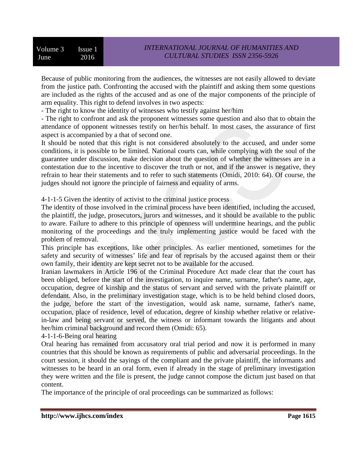Because of public monitoring from the audiences, the witnesses are not easily allowed to deviate from the justice path. Confronting the accused with the plaintiff and asking them some questions are included as the rights of the accused and as one of the major components of the principle of arm equality. This right to defend involves in two aspects:

- The right to know the identity of witnesses who testify against her/him

- The right to confront and ask the proponent witnesses some question and also that to obtain the attendance of opponent witnesses testify on her/his behalf. In most cases, the assurance of first aspect is accompanied by a that of second one.

It should be noted that this right is not considered absolutely to the accused, and under some conditions, it is possible to be limited. National courts can, while complying with the soul of the guarantee under discussion, make decision about the question of whether the witnesses are in a contestation due to the incentive to discover the truth or not, and if the answer is negative, they refrain to hear their statements and to refer to such statements (Omidi, 2010: 64). Of course, the judges should not ignore the principle of fairness and equality of arms.

4-1-1-5 Given the identity of activist to the criminal justice process

The identity of those involved in the criminal process have been identified, including the accused, the plaintiff, the judge, prosecutors, jurors and witnesses, and it should be available to the public to aware. Failure to adhere to this principle of openness will undermine hearings, and the public monitoring of the proceedings and the truly implementing justice would be faced with the problem of removal.

This principle has exceptions, like other principles. As earlier mentioned, sometimes for the safety and security of witnesses' life and fear of reprisals by the accused against them or their own family, their identity are kept secret not to be available for the accused.

Iranian lawmakers in Article 196 of the Criminal Procedure Act made clear that the court has been obliged, before the start of the investigation, to inquire name, surname, father's name, age, occupation, degree of kinship and the status of servant and served with the private plaintiff or defendant. Also, in the preliminary investigation stage, which is to be held behind closed doors, the judge, before the start of the investigation, would ask name, surname, father's name, occupation, place of residence, level of education, degree of kinship whether relative or relativein-law and being servant or served, the witness or informant towards the litigants and about her/him criminal background and record them (Omidi: 65).

4-1-1-6-Being oral hearing

Oral hearing has remained from accusatory oral trial period and now it is performed in many countries that this should be known as requirements of public and adversarial proceedings. In the court session, it should the sayings of the compliant and the private plaintiff, the informants and witnesses to be heard in an oral form, even if already in the stage of preliminary investigation they were written and the file is present, the judge cannot compose the dictum just based on that content.

The importance of the principle of oral proceedings can be summarized as follows: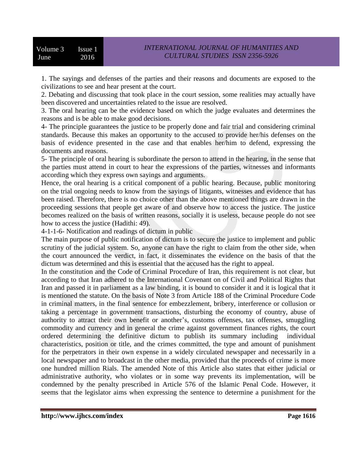1. The sayings and defenses of the parties and their reasons and documents are exposed to the civilizations to see and hear present at the court.

2. Debating and discussing that took place in the court session, some realities may actually have been discovered and uncertainties related to the issue are resolved.

3. The oral hearing can be the evidence based on which the judge evaluates and determines the reasons and is be able to make good decisions.

4- The principle guarantees the justice to be properly done and fair trial and considering criminal standards. Because this makes an opportunity to the accused to provide her/his defenses on the basis of evidence presented in the case and that enables her/him to defend, expressing the documents and reasons.

5- The principle of oral hearing is subordinate the person to attend in the hearing, in the sense that the parties must attend in court to hear the expressions of the parties, witnesses and informants according which they express own sayings and arguments.

Hence, the oral hearing is a critical component of a public hearing. Because, public monitoring on the trial ongoing needs to know from the sayings of litigants, witnesses and evidence that has been raised. Therefore, there is no choice other than the above mentioned things are drawn in the proceeding sessions that people get aware of and observe how to access the justice. The justice becomes realized on the basis of written reasons, socially it is useless, because people do not see how to access the justice (Hadithi: 49).

4-1-1-6- Notification and readings of dictum in public

The main purpose of public notification of dictum is to secure the justice to implement and public scrutiny of the judicial system. So, anyone can have the right to claim from the other side, when the court announced the verdict, in fact, it disseminates the evidence on the basis of that the dictum was determined and this is essential that the accused has the right to appeal.

In the constitution and the Code of Criminal Procedure of Iran, this requirement is not clear, but according to that Iran adhered to the International Covenant on of Civil and Political Rights that Iran and passed it in parliament as a law binding, it is bound to consider it and it is logical that it is mentioned the statute. On the basis of Note 3 from Article 188 of the Criminal Procedure Code in criminal matters, in the final sentence for embezzlement, bribery, interference or collusion or taking a percentage in government transactions, disturbing the economy of country, abuse of authority to attract their own benefit or another's, customs offenses, tax offenses, smuggling commodity and currency and in general the crime against government finances rights, the court ordered determining the definitive dictum to publish its summary including individual characteristics, position or title, and the crimes committed, the type and amount of punishment for the perpetrators in their own expense in a widely circulated newspaper and necessarily in a local newspaper and to broadcast in the other media, provided that the proceeds of crime is more one hundred million Rials. The amended Note of this Article also states that either judicial or administrative authority, who violates or in some way prevents its implementation, will be condemned by the penalty prescribed in Article 576 of the Islamic Penal Code. However, it seems that the legislator aims when expressing the sentence to determine a punishment for the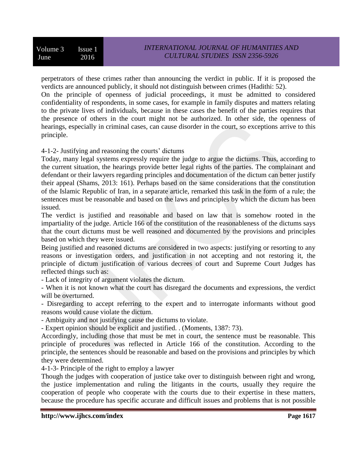perpetrators of these crimes rather than announcing the verdict in public. If it is proposed the verdicts are announced publicly, it should not distinguish between crimes (Hadithi: 52).

On the principle of openness of judicial proceedings, it must be admitted to considered confidentiality of respondents, in some cases, for example in family disputes and matters relating to the private lives of individuals, because in these cases the benefit of the parties requires that the presence of others in the court might not be authorized. In other side, the openness of hearings, especially in criminal cases, can cause disorder in the court, so exceptions arrive to this principle.

4-1-2- Justifying and reasoning the courts' dictums

Today, many legal systems expressly require the judge to argue the dictums. Thus, according to the current situation, the hearings provide better legal rights of the parties. The complainant and defendant or their lawyers regarding principles and documentation of the dictum can better justify their appeal (Shams, 2013: 161). Perhaps based on the same considerations that the constitution of the Islamic Republic of Iran, in a separate article, remarked this task in the form of a rule; the sentences must be reasonable and based on the laws and principles by which the dictum has been issued.

The verdict is justified and reasonable and based on law that is somehow rooted in the impartiality of the judge. Article 166 of the constitution of the reasonableness of the dictums says that the court dictums must be well reasoned and documented by the provisions and principles based on which they were issued.

Being justified and reasoned dictums are considered in two aspects: justifying or resorting to any reasons or investigation orders, and justification in not accepting and not restoring it, the principle of dictum justification of various decrees of court and Supreme Court Judges has reflected things such as:

- Lack of integrity of argument violates the dictum.

- When it is not known what the court has disregard the documents and expressions, the verdict will be overturned.

- Disregarding to accept referring to the expert and to interrogate informants without good reasons would cause violate the dictum.

- Ambiguity and not justifying cause the dictums to violate.

- Expert opinion should be explicit and justified. . (Moments, 1387: 73).

Accordingly, including those that must be met in court, the sentence must be reasonable. This principle of procedures was reflected in Article 166 of the constitution. According to the principle, the sentences should be reasonable and based on the provisions and principles by which they were determined.

4-1-3- Principle of the right to employ a lawyer

Though the judges with cooperation of justice take over to distinguish between right and wrong, the justice implementation and ruling the litigants in the courts, usually they require the cooperation of people who cooperate with the courts due to their expertise in these matters, because the procedure has specific accurate and difficult issues and problems that is not possible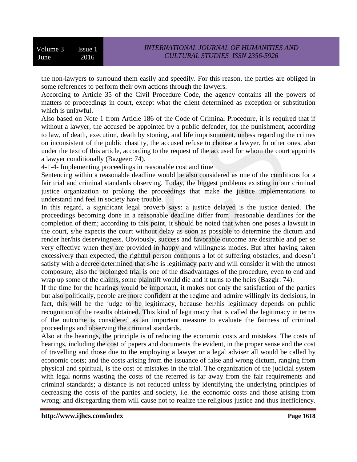the non-lawyers to surround them easily and speedily. For this reason, the parties are obliged in some references to perform their own actions through the lawyers.

According to Article 35 of the Civil Procedure Code, the agency contains all the powers of matters of proceedings in court, except what the client determined as exception or substitution which is unlawful.

Also based on Note 1 from Article 186 of the Code of Criminal Procedure, it is required that if without a lawyer, the accused be appointed by a public defender, for the punishment, according to law, of death, execution, death by stoning, and life imprisonment, unless regarding the crimes on inconsistent of the public chastity, the accused refuse to choose a lawyer. In other ones, also under the text of this article, according to the request of the accused for whom the court appoints a lawyer conditionally (Bazgeer: 74).

4-1-4- Implementing proceedings in reasonable cost and time

Sentencing within a reasonable deadline would be also considered as one of the conditions for a fair trial and criminal standards observing. Today, the biggest problems existing in our criminal justice organization to prolong the proceedings that make the justice implementations to understand and feel in society have trouble.

In this regard, a significant legal proverb says: a justice delayed is the justice denied. The proceedings becoming done in a reasonable deadline differ from reasonable deadlines for the completion of them; according to this point, it should be noted that when one poses a lawsuit in the court, s/he expects the court without delay as soon as possible to determine the dictum and render her/his deservingness. Obviously, success and favorable outcome are desirable and per se very effective when they are provided in happy and willingness modes. But after having taken excessively than expected, the rightful person confronts a lot of suffering obstacles, and doesn't satisfy with a decree determined that s/he is legitimacy party and will consider it with the utmost composure; also the prolonged trial is one of the disadvantages of the procedure, even to end and wrap up some of the claims, some plaintiff would die and it turns to the heirs (Bazgir: 74).

If the time for the hearings would be important, it makes not only the satisfaction of the parties but also politically, people are more confident at the regime and admire willingly its decisions, in fact, this will be the judge to be legitimacy, because her/his legitimacy depends on public recognition of the results obtained. This kind of legitimacy that is called the legitimacy in terms of the outcome is considered as an important measure to evaluate the fairness of criminal proceedings and observing the criminal standards.

Also at the hearings, the principle is of reducing the economic costs and mistakes. The costs of hearings, including the cost of papers and documents the evident, in the proper sense and the cost of travelling and those due to the employing a lawyer or a legal adviser all would be called by economic costs; and the costs arising from the issuance of false and wrong dictum, ranging from physical and spiritual, is the cost of mistakes in the trial. The organization of the judicial system with legal norms wasting the costs of the referred is far away from the fair requirements and criminal standards; a distance is not reduced unless by identifying the underlying principles of decreasing the costs of the parties and society, i.e. the economic costs and those arising from wrong; and disregarding them will cause not to realize the religious justice and thus inefficiency.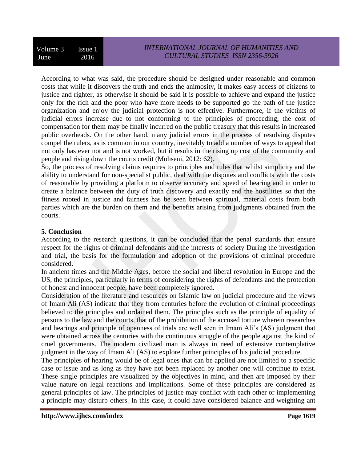According to what was said, the procedure should be designed under reasonable and common costs that while it discovers the truth and ends the animosity, it makes easy access of citizens to justice and righter, as otherwise it should be said it is possible to achieve and expand the justice only for the rich and the poor who have more needs to be supported go the path of the justice organization and enjoy the judicial protection is not effective. Furthermore, if the victims of judicial errors increase due to not conforming to the principles of proceeding, the cost of compensation for them may be finally incurred on the public treasury that this results in increased public overheads. On the other hand, many judicial errors in the process of resolving disputes compel the rulers, as is common in our country, inevitably to add a number of ways to appeal that not only has ever not and is not worked, but it results in the rising up cost of the community and people and rising down the courts credit (Mohseni, 2012: 62).

So, the process of resolving claims requires to principles and rules that whilst simplicity and the ability to understand for non-specialist public, deal with the disputes and conflicts with the costs of reasonable by providing a platform to observe accuracy and speed of hearing and in order to create a balance between the duty of truth discovery and exactly end the hostilities so that the fitness rooted in justice and fairness has be seen between spiritual, material costs from both parties which are the burden on them and the benefits arising from judgments obtained from the courts.

## **5. Conclusion**

According to the research questions, it can be concluded that the penal standards that ensure respect for the rights of criminal defendants and the interests of society During the investigation and trial, the basis for the formulation and adoption of the provisions of criminal procedure considered.

In ancient times and the Middle Ages, before the social and liberal revolution in Europe and the US, the principles, particularly in terms of considering the rights of defendants and the protection of honest and innocent people, have been completely ignored.

Consideration of the literature and resources on Islamic law on judicial procedure and the views of Imam Ali (AS) indicate that they from centuries before the evolution of criminal proceedings believed to the principles and ordained them. The principles such as the principle of equality of persons to the law and the courts, that of the prohibition of the accused torture wherein researches and hearings and principle of openness of trials are well seen in Imam Ali's (AS) judgment that were obtained across the centuries with the continuous struggle of the people against the kind of cruel governments. The modern civilized man is always in need of extensive contemplative judgment in the way of Imam Ali (AS) to explore further principles of his judicial procedure.

The principles of hearing would be of legal ones that can be applied are not limited to a specific case or issue and as long as they have not been replaced by another one will continue to exist. These single principles are visualized by the objectives in mind, and then are imposed by their value nature on legal reactions and implications. Some of these principles are considered as general principles of law. The principles of justice may conflict with each other or implementing a principle may disturb others. In this case, it could have considered balance and weighting ant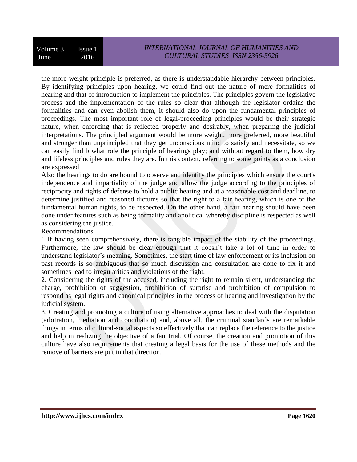the more weight principle is preferred, as there is understandable hierarchy between principles. By identifying principles upon hearing, we could find out the nature of mere formalities of hearing and that of introduction to implement the principles. The principles govern the legislative process and the implementation of the rules so clear that although the legislator ordains the formalities and can even abolish them, it should also do upon the fundamental principles of proceedings. The most important role of legal-proceeding principles would be their strategic nature, when enforcing that is reflected properly and desirably, when preparing the judicial interpretations. The principled argument would be more weight, more preferred, more beautiful and stronger than unprincipled that they get unconscious mind to satisfy and necessitate, so we can easily find b what role the principle of hearings play; and without regard to them, how dry and lifeless principles and rules they are. In this context, referring to some points as a conclusion are expressed

Also the hearings to do are bound to observe and identify the principles which ensure the court's independence and impartiality of the judge and allow the judge according to the principles of reciprocity and rights of defense to hold a public hearing and at a reasonable cost and deadline, to determine justified and reasoned dictums so that the right to a fair hearing, which is one of the fundamental human rights, to be respected. On the other hand, a fair hearing should have been done under features such as being formality and apolitical whereby discipline is respected as well as considering the justice.

Recommendations

1 If having seen comprehensively, there is tangible impact of the stability of the proceedings. Furthermore, the law should be clear enough that it doesn't take a lot of time in order to understand legislator's meaning. Sometimes, the start time of law enforcement or its inclusion on past records is so ambiguous that so much discussion and consultation are done to fix it and sometimes lead to irregularities and violations of the right.

2. Considering the rights of the accused, including the right to remain silent, understanding the charge, prohibition of suggestion, prohibition of surprise and prohibition of compulsion to respond as legal rights and canonical principles in the process of hearing and investigation by the judicial system.

3. Creating and promoting a culture of using alternative approaches to deal with the disputation (arbitration, mediation and conciliation) and, above all, the criminal standards are remarkable things in terms of cultural-social aspects so effectively that can replace the reference to the justice and help in realizing the objective of a fair trial. Of course, the creation and promotion of this culture have also requirements that creating a legal basis for the use of these methods and the remove of barriers are put in that direction.